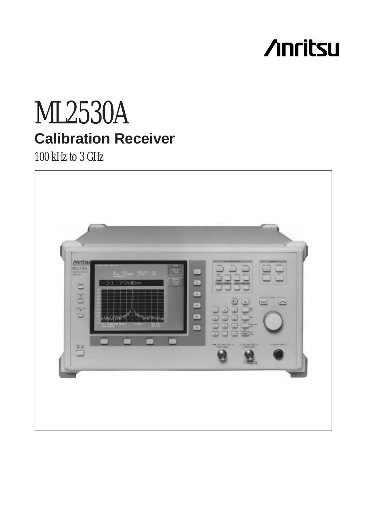# **/inritsu**

# ML2530A **Calibration Receiver**

100 kHz to 3 GHz

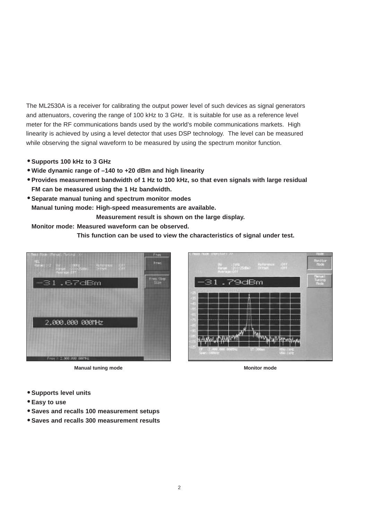The ML2530A is a receiver for calibrating the output power level of such devices as signal generators and attenuators, covering the range of 100 kHz to 3 GHz. It is suitable for use as a reference level meter for the RF communications bands used by the world's mobile communications markets. High linearity is achieved by using a level detector that uses DSP technology. The level can be measured while observing the signal waveform to be measured by using the spectrum monitor function.

- **Supports 100 kHz to 3 GHz**
- **Wide dynamic range of –140 to +20 dBm and high linearity**
- **Provides measurement bandwidth of 1 Hz to 100 kHz, so that even signals with large residual FM can be measured using the 1 Hz bandwidth.**
- **Separate manual tuning and spectrum monitor modes Manual tuning mode: High-speed measurements are available.**

**Measurement result is shown on the large display.**

**Monitor mode: Measured waveform can be observed.**

**This function can be used to view the characteristics of signal under test.**



**Manual tuning mode Monitor mode Monitor mode** 



- **Supports level units**
- **Easy to use**
- **Saves and recalls 100 measurement setups**
- **Saves and recalls 300 measurement results**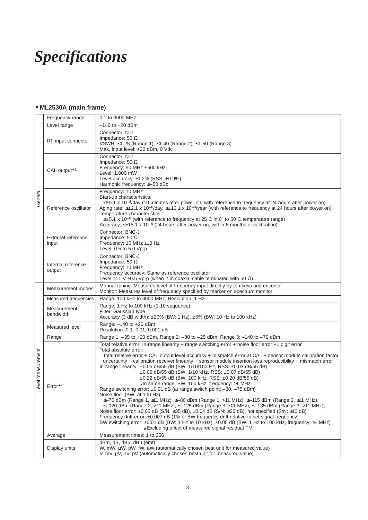# *Specifications*

# • **ML2530A (main frame)**

|                  | Frequency range              | 0.1 to 3000 MHz                                                                                                                                                                                                                                                                                                                                                                                                                                                                                                                                                                                                                                                                                                                                                                                                                                                                                                                                                                                                                                                                                                                                                                                                                                                                                                                                       |  |  |  |
|------------------|------------------------------|-------------------------------------------------------------------------------------------------------------------------------------------------------------------------------------------------------------------------------------------------------------------------------------------------------------------------------------------------------------------------------------------------------------------------------------------------------------------------------------------------------------------------------------------------------------------------------------------------------------------------------------------------------------------------------------------------------------------------------------------------------------------------------------------------------------------------------------------------------------------------------------------------------------------------------------------------------------------------------------------------------------------------------------------------------------------------------------------------------------------------------------------------------------------------------------------------------------------------------------------------------------------------------------------------------------------------------------------------------|--|--|--|
| General          | Level range                  | $-140$ to $+20$ dBm                                                                                                                                                                                                                                                                                                                                                                                                                                                                                                                                                                                                                                                                                                                                                                                                                                                                                                                                                                                                                                                                                                                                                                                                                                                                                                                                   |  |  |  |
|                  | RF input connector           | Connector: N-J<br>Impedance: 50 $\Omega$<br>VSWR: ≤1.25 (Range 1), ≤1.40 (Range 2), ≤1.50 (Range 3)<br>Max. input level: +20 dBm, 0 Vdc                                                                                                                                                                                                                                                                                                                                                                                                                                                                                                                                                                                                                                                                                                                                                                                                                                                                                                                                                                                                                                                                                                                                                                                                               |  |  |  |
|                  | CAL output*1                 | Connector: N-J<br>Impedance: 50 $\Omega$<br>Frequency: 50 MHz ±500 kHz<br>Level: 1.000 mW<br>Level accuracy: $±1.2\%$ (RSS: $±0.9\%$ )<br>Harmonic frequency: ≤-50 dBc                                                                                                                                                                                                                                                                                                                                                                                                                                                                                                                                                                                                                                                                                                                                                                                                                                                                                                                                                                                                                                                                                                                                                                                |  |  |  |
|                  | Reference oscillator         | Frequency: 10 MHz<br>Start-up characteristics:<br>$\leq \pm 5.1$ x 10 <sup>-8</sup> /day (10 minutes after power on, with reference to frequency at 24 hours after power on)<br>Aging rate: $\leq \pm 2.1 \times 10^{-8}$ /day, $\leq \pm 10.1 \times 10^{-8}$ /year (with reference to frequency at 24 hours after power on)<br>Temperature characteristics:<br>$\leq$ ±5.1 x 10 <sup>-8</sup> (with reference to frequency at 25°C in 0° to 50°C temperature range)<br>Accuracy: $\leq \pm 15.1 \times 10^{-8}$ (24 hours after power on, within 6 months of calibration)                                                                                                                                                                                                                                                                                                                                                                                                                                                                                                                                                                                                                                                                                                                                                                           |  |  |  |
|                  | External reference<br>input  | Connector: BNC-J<br>Impedance: 50 $\Omega$<br>Frequency: 10 MHz ±10 Hz<br>Level: 0.5 to 5.0 Vp-p                                                                                                                                                                                                                                                                                                                                                                                                                                                                                                                                                                                                                                                                                                                                                                                                                                                                                                                                                                                                                                                                                                                                                                                                                                                      |  |  |  |
|                  | Internal reference<br>output | Connector: BNC-J<br>Impedance: 50 $\Omega$<br>Frequency: 10 MHz<br>Frequency accuracy: Same as reference oscillator<br>Level: 2.1 V $\pm$ 0.6 Vp-p (when 2 m coaxial cable terminated with 50 $\Omega$ )                                                                                                                                                                                                                                                                                                                                                                                                                                                                                                                                                                                                                                                                                                                                                                                                                                                                                                                                                                                                                                                                                                                                              |  |  |  |
|                  | Measurement modes            | Manual tuning: Measures level of frequency input directly by ten keys and encoder<br>Monitor: Measures level of frequency specified by marker on spectrum monitor                                                                                                                                                                                                                                                                                                                                                                                                                                                                                                                                                                                                                                                                                                                                                                                                                                                                                                                                                                                                                                                                                                                                                                                     |  |  |  |
|                  | Measured frequencies         | Range: 100 kHz to 3000 MHz, Resolution: 1 Hz                                                                                                                                                                                                                                                                                                                                                                                                                                                                                                                                                                                                                                                                                                                                                                                                                                                                                                                                                                                                                                                                                                                                                                                                                                                                                                          |  |  |  |
|                  | Measurement<br>bandwidth     | Range: 1 Hz to 100 kHz (1-10 sequence)<br>Filter: Gaussian type<br>Accuracy (3 dB width): ±20% (BW: 1 Hz), ±5% (BW: 10 Hz to 100 kHz)                                                                                                                                                                                                                                                                                                                                                                                                                                                                                                                                                                                                                                                                                                                                                                                                                                                                                                                                                                                                                                                                                                                                                                                                                 |  |  |  |
|                  | Measured level               | Range: -140 to +20 dBm<br>Resolution: 0.1, 0.01, 0.001 dB                                                                                                                                                                                                                                                                                                                                                                                                                                                                                                                                                                                                                                                                                                                                                                                                                                                                                                                                                                                                                                                                                                                                                                                                                                                                                             |  |  |  |
|                  | Range                        | Range 1: -35 to +20 dBm, Range 2: -80 to -25 dBm, Range 3: -140 to -70 dBm                                                                                                                                                                                                                                                                                                                                                                                                                                                                                                                                                                                                                                                                                                                                                                                                                                                                                                                                                                                                                                                                                                                                                                                                                                                                            |  |  |  |
| evel measurement | $Error*2$                    | Total relative error: In-range linearity + range switching error + noise floor error +1 digit error<br>Total absolute error:<br>Total relative error + CAL output level accuracy + mismatch error at CAL + sensor module calibration factor<br>uncertainty + calibration receiver linearity + sensor module insertion loss reproducibility + mismatch error<br>In-range linearity: $\pm 0.05$ dB/55 dB (BW: 1/10/100 Hz, RSS: $\pm 0.03$ dB/55 dB)<br>±0.09 dB/55 dB (BW: 1/10 kHz, RSS: ±0.07 dB/55 dB)<br>±0.22 dB/55 dB (BW: 100 kHz, RSS: ±0.20 dB/55 dB)<br>*In same range, BW: 100 kHz, frequency: ≥1 MHz<br>Range switching error: ±0.01 dB (at range switch point: -30, -75 dBm)<br>Noise floor (BW: at 100 Hz):<br>$\leq$ -70 dBm (Range 1, ≤11 MHz), $\leq$ -80 dBm (Range 1, >11 MHz), $\leq$ -115 dBm (Range 2, ≤11 MHz),<br>$\le$ -120 dBm (Range 2, >11 MHz), $\le$ -125 dBm (Range 3, $\le$ 11 MHz), $\le$ -135 dBm (Range 3, >11 MHz),<br>Noise floor error: $\pm 0.05$ dB (S/N: $\leq 35$ dB), $\pm 0.04$ dB (S/N: $\leq 25$ dB), not specified (S/N: $\leq 10$ dB)<br>Frequency drift error: $\pm 0.007$ dB (1% of BW frequency drift relative to set signal frequency)<br>BW switching error: ±0.01 dB (BW: 1 Hz to 10 kHz), ±0.05 dB (BW: 1 Hz to 100 kHz, frequency: ≥1 MHz)<br>*Excluding effect of measured signal residual FM |  |  |  |
|                  | Average                      | Measurement times: 1 to 256                                                                                                                                                                                                                                                                                                                                                                                                                                                                                                                                                                                                                                                                                                                                                                                                                                                                                                                                                                                                                                                                                                                                                                                                                                                                                                                           |  |  |  |
|                  | Display units                | dBm, dB, dBµ, dBµ (emf)<br>W, mW, µW, pW, fW, aW (automatically chosen best unit for measured value)<br>V, mV, µV, nV, pV (automatically chosen best unit for measured value)                                                                                                                                                                                                                                                                                                                                                                                                                                                                                                                                                                                                                                                                                                                                                                                                                                                                                                                                                                                                                                                                                                                                                                         |  |  |  |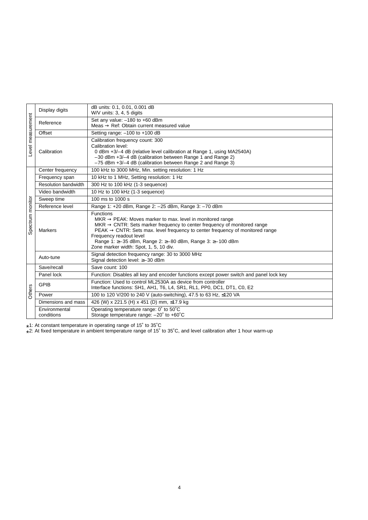| Level measurement                                                                                                                                                                 | Display digits              | dB units: 0.1, 0.01, 0.001 dB<br>W/V units: 3, 4, 5 digits                                                                                                                                                                                                                                                                                                                                                  |  |  |  |
|-----------------------------------------------------------------------------------------------------------------------------------------------------------------------------------|-----------------------------|-------------------------------------------------------------------------------------------------------------------------------------------------------------------------------------------------------------------------------------------------------------------------------------------------------------------------------------------------------------------------------------------------------------|--|--|--|
|                                                                                                                                                                                   | Reference                   | Set any value: -180 to +60 dBm<br>Meas $\rightarrow$ Ref: Obtain current measured value                                                                                                                                                                                                                                                                                                                     |  |  |  |
|                                                                                                                                                                                   | Offset                      | Setting range: -100 to +100 dB                                                                                                                                                                                                                                                                                                                                                                              |  |  |  |
|                                                                                                                                                                                   | Calibration                 | Calibration frequency count: 300<br>Calibration level:<br>0 dBm +3/-4 dB (relative level calibration at Range 1, using MA2540A)<br>$-30$ dBm $+3/-4$ dB (calibration between Range 1 and Range 2)<br>-75 dBm +3/-4 dB (calibration between Range 2 and Range 3)                                                                                                                                             |  |  |  |
|                                                                                                                                                                                   | Center frequency            | 100 kHz to 3000 MHz, Min. setting resolution: 1 Hz                                                                                                                                                                                                                                                                                                                                                          |  |  |  |
|                                                                                                                                                                                   | Frequency span              | 10 kHz to 1 MHz, Setting resolution: 1 Hz                                                                                                                                                                                                                                                                                                                                                                   |  |  |  |
|                                                                                                                                                                                   | <b>Resolution bandwidth</b> | 300 Hz to 100 kHz (1-3 sequence)                                                                                                                                                                                                                                                                                                                                                                            |  |  |  |
|                                                                                                                                                                                   | Video bandwidth             | 10 Hz to 100 kHz (1-3 sequence)                                                                                                                                                                                                                                                                                                                                                                             |  |  |  |
|                                                                                                                                                                                   | Sweep time                  | 100 ms to 1000 s                                                                                                                                                                                                                                                                                                                                                                                            |  |  |  |
|                                                                                                                                                                                   | Reference level             | Range 1: +20 dBm, Range 2: -25 dBm, Range 3: -70 dBm                                                                                                                                                                                                                                                                                                                                                        |  |  |  |
| Spectrum monitor                                                                                                                                                                  | <b>Markers</b>              | Functions<br>$MKR \rightarrow PEAK$ : Moves marker to max. level in monitored range<br>$MKR \rightarrow CNTR$ : Sets marker frequency to center frequency of monitored range<br>$PEAK \rightarrow CNTR$ : Sets max. level frequency to center frequency of monitored range<br>Frequency readout level<br>Range 1: ≥-35 dBm, Range 2: ≥-80 dBm, Range 3: ≥-100 dBm<br>Zone marker width: Spot, 1, 5, 10 div. |  |  |  |
|                                                                                                                                                                                   | Auto-tune                   | Signal detection frequency range: 30 to 3000 MHz<br>Signal detection level: ≥-30 dBm                                                                                                                                                                                                                                                                                                                        |  |  |  |
|                                                                                                                                                                                   | Save/recall                 | Save count: 100                                                                                                                                                                                                                                                                                                                                                                                             |  |  |  |
|                                                                                                                                                                                   | Panel lock                  | Function: Disables all key and encoder functions except power switch and panel lock key                                                                                                                                                                                                                                                                                                                     |  |  |  |
| Others                                                                                                                                                                            | <b>GPIB</b>                 | Function: Used to control ML2530A as device from controller<br>Interface functions: SH1, AH1, T6, L4, SR1, RL1, PP0, DC1, DT1, C0, E2                                                                                                                                                                                                                                                                       |  |  |  |
|                                                                                                                                                                                   | Power                       | 100 to 120 V/200 to 240 V (auto-switching), 47.5 to 63 Hz, ≤120 VA                                                                                                                                                                                                                                                                                                                                          |  |  |  |
|                                                                                                                                                                                   | Dimensions and mass         | 426 (W) x 221.5 (H) x 451 (D) mm, ≤17.9 kg                                                                                                                                                                                                                                                                                                                                                                  |  |  |  |
|                                                                                                                                                                                   | Environmental<br>conditions | Operating temperature range: 0° to 50°C<br>Storage temperature range: - 20° to +60°C                                                                                                                                                                                                                                                                                                                        |  |  |  |
| *1: At constant temperature in operating range of 15° to 35°C<br>*2: At fixed temperature in ambient temperature range of 15° to 35°C, and level calibration after 1 hour warm-up |                             |                                                                                                                                                                                                                                                                                                                                                                                                             |  |  |  |

\*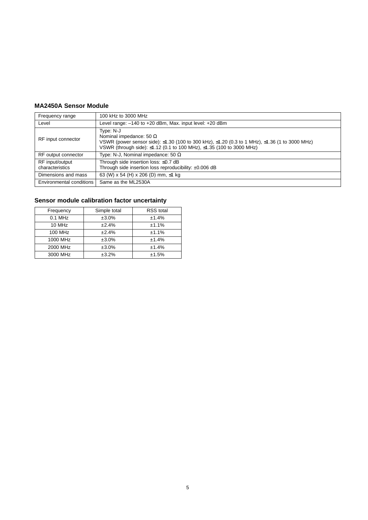### **MA2450A Sensor Module**

| Frequency range                    | 100 kHz to 3000 MHz                                                                                                                                                                                                  |  |  |  |
|------------------------------------|----------------------------------------------------------------------------------------------------------------------------------------------------------------------------------------------------------------------|--|--|--|
| Level                              | Level range: $-140$ to $+20$ dBm, Max. input level: $+20$ dBm                                                                                                                                                        |  |  |  |
| RF input connector                 | Type: N-J<br>Nominal impedance: 50 $\Omega$<br>VSWR (power sensor side): ≤1.30 (100 to 300 kHz), ≤1.20 (0.3 to 1 MHz), ≤1.36 (1 to 3000 MHz)<br>VSWR (through side): ≤1.12 (0.1 to 100 MHz), ≤1.35 (100 to 3000 MHz) |  |  |  |
| RF output connector                | Type: N-J, Nominal impedance: 50 $\Omega$                                                                                                                                                                            |  |  |  |
| RF input/output<br>characteristics | Through side insertion loss: ≤0.7 dB<br>Through side insertion loss reproducibility: ±0.006 dB                                                                                                                       |  |  |  |
| Dimensions and mass                | 63 (W) x 54 (H) x 206 (D) mm, $\leq$ 1 kg                                                                                                                                                                            |  |  |  |
| Environmental conditions           | Same as the ML2530A                                                                                                                                                                                                  |  |  |  |

## **Sensor module calibration factor uncertainty**

| Frequency | Simple total | <b>RSS</b> total |  |  |
|-----------|--------------|------------------|--|--|
| $0.1$ MHz | ±3.0%        | ±1.4%            |  |  |
| 10 MHz    | ±2.4%        | ±1.1%            |  |  |
| 100 MHz   | ±2.4%        | ±1.1%            |  |  |
| 1000 MHz  | ±3.0%        | ±1.4%            |  |  |
| 2000 MHz  | ±3.0%        | ±1.4%            |  |  |
| 3000 MHz  | ±3.2%        | ±1.5%            |  |  |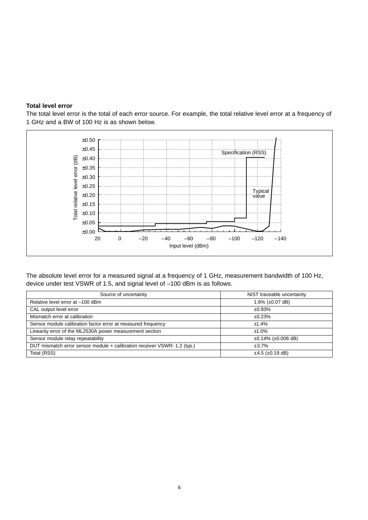#### **Total level error**

The total level error is the total of each error source. For example, the total relative level error at a frequency of 1 GHz and a BW of 100 Hz is as shown below.



The absolute level error for a measured signal at a frequency of 1 GHz, measurement bandwidth of 100 Hz, device under test VSWR of 1.5, and signal level of –100 dBm is as follows.

| Source of uncertainty                                                    | NIST traceable uncertainty     |
|--------------------------------------------------------------------------|--------------------------------|
| Relative level error at -100 dBm                                         | 1.6% $(\pm 0.07 \text{ dB})$   |
| CAL output level error                                                   | ±0.93%                         |
| Mismatch error at calibration                                            | ±0.23%                         |
| Sensor module calibration factor error at measured frequency             | ±1.4%                          |
| Linearity error of the ML2530A power measurement section                 | $±1.0\%$                       |
| Sensor module relay repeatability                                        | $\pm 0.14\%$ ( $\pm 0.006$ dB) |
| DUT mismatch error sensor module + calibration receiver VSWR: 1.2 (typ.) | ±3.7%                          |
| Total (RSS)                                                              | $±4.5$ ( $±0.19$ dB)           |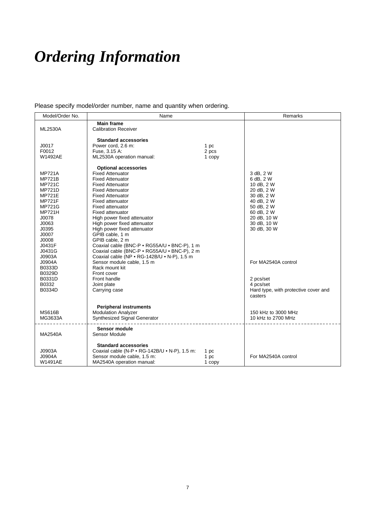# *Ordering Information*

Please specify model/order number, name and quantity when ordering.

| Model/Order No. | Name                                          |        | Remarks                              |
|-----------------|-----------------------------------------------|--------|--------------------------------------|
|                 | <b>Main frame</b>                             |        |                                      |
| <b>ML2530A</b>  | <b>Calibration Receiver</b>                   |        |                                      |
|                 |                                               |        |                                      |
|                 | <b>Standard accessories</b>                   |        |                                      |
| J0017           | Power cord, 2.6 m:                            | 1 pc   |                                      |
| F0012           | Fuse, 3.15 A:                                 | 2 pcs  |                                      |
| W1492AE         | ML2530A operation manual:                     | 1 copy |                                      |
|                 | <b>Optional accessories</b>                   |        |                                      |
| <b>MP721A</b>   | <b>Fixed Attenuator</b>                       |        | 3 dB, 2 W                            |
| <b>MP721B</b>   | <b>Fixed Attenuator</b>                       |        | 6 dB, 2 W                            |
| <b>MP721C</b>   | <b>Fixed Attenuator</b>                       |        | 10 dB, 2 W                           |
| <b>MP721D</b>   | <b>Fixed Attenuator</b>                       |        | 20 dB, 2 W                           |
| <b>MP721E</b>   | <b>Fixed Attenuator</b>                       |        | 30 dB, 2 W                           |
| <b>MP721F</b>   | <b>Fixed attenuator</b>                       |        | 40 dB, 2 W                           |
| <b>MP721G</b>   | <b>Fixed attenuator</b>                       |        | 50 dB, 2 W                           |
| <b>MP721H</b>   | <b>Fixed attenuator</b>                       |        | 60 dB, 2 W                           |
| J0078           | High power fixed attenuator                   |        | 20 dB, 10 W                          |
| J0063           | High power fixed attenuator                   |        | 30 dB, 10 W                          |
| J0395           | High power fixed attenuator                   |        | 30 dB, 30 W                          |
| J0007           | GPIB cable, 1 m                               |        |                                      |
| J0008           | GPIB cable, 2 m                               |        |                                      |
| J0431F          | Coaxial cable (BNC-P · RG55A/U · BNC-P), 1 m  |        |                                      |
| J0431G          | Coaxial cable (BNC-P · RG55A/U · BNC-P), 2 m  |        |                                      |
| J0903A          | Coaxial cable (NP · RG-142B/U · N-P), 1.5 m   |        |                                      |
| J0904A          | Sensor module cable, 1.5 m                    |        | For MA2540A control                  |
| B0333D          | Rack mount kit                                |        |                                      |
| B0329D          | Front cover                                   |        |                                      |
| B0331D          | Front handle                                  |        | 2 pcs/set                            |
| B0332           | Joint plate                                   |        | 4 pcs/set                            |
| B0334D          | Carrying case                                 |        | Hard type, with protective cover and |
|                 |                                               |        | casters                              |
|                 |                                               |        |                                      |
|                 | <b>Peripheral instruments</b>                 |        |                                      |
| <b>MS616B</b>   | <b>Modulation Analyzer</b>                    |        | 150 kHz to 3000 MHz                  |
| MG3633A         | Synthesized Signal Generator                  |        | 10 kHz to 2700 MHz                   |
|                 | <b>Sensor module</b>                          |        |                                      |
| MA2540A         | Sensor Module                                 |        |                                      |
|                 |                                               |        |                                      |
|                 | <b>Standard accessories</b>                   |        |                                      |
| J0903A          | Coaxial cable (N-P • RG-142B/U • N-P), 1.5 m: | 1 pc   |                                      |
| J0904A          | Sensor module cable, 1.5 m:                   | 1 pc   | For MA2540A control                  |
| W1491AE         | MA2540A operation manual:                     | 1 copy |                                      |
|                 |                                               |        |                                      |